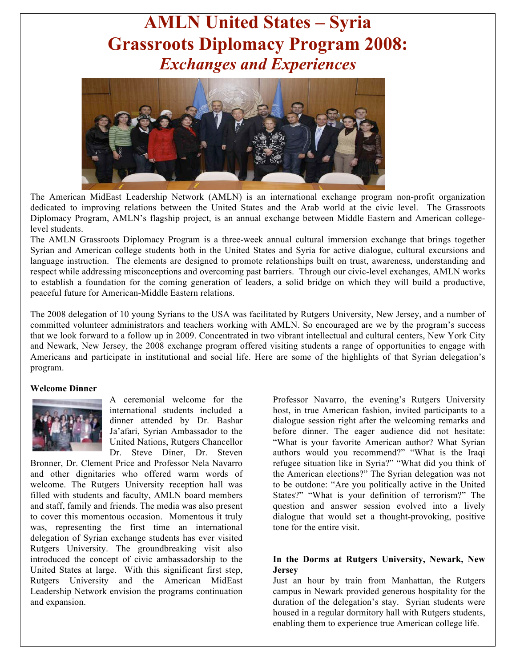# **AMLN United States – Syria Grassroots Diplomacy Program 2008:** *Exchanges and Experiences*



The American MidEast Leadership Network (AMLN) is an international exchange program non-profit organization dedicated to improving relations between the United States and the Arab world at the civic level. The Grassroots Diplomacy Program, AMLN's flagship project, is an annual exchange between Middle Eastern and American collegelevel students.

The AMLN Grassroots Diplomacy Program is a three-week annual cultural immersion exchange that brings together Syrian and American college students both in the United States and Syria for active dialogue, cultural excursions and language instruction. The elements are designed to promote relationships built on trust, awareness, understanding and respect while addressing misconceptions and overcoming past barriers. Through our civic-level exchanges, AMLN works to establish a foundation for the coming generation of leaders, a solid bridge on which they will build a productive, peaceful future for American-Middle Eastern relations.

The 2008 delegation of 10 young Syrians to the USA was facilitated by Rutgers University, New Jersey, and a number of committed volunteer administrators and teachers working with AMLN. So encouraged are we by the program's success that we look forward to a follow up in 2009. Concentrated in two vibrant intellectual and cultural centers, New York City and Newark, New Jersey, the 2008 exchange program offered visiting students a range of opportunities to engage with Americans and participate in institutional and social life. Here are some of the highlights of that Syrian delegation's program.

#### **Welcome Dinner**



A ceremonial welcome for the international students included a dinner attended by Dr. Bashar Ja'afari, Syrian Ambassador to the United Nations, Rutgers Chancellor Dr. Steve Diner, Dr. Steven

Bronner, Dr. Clement Price and Professor Nela Navarro and other dignitaries who offered warm words of welcome. The Rutgers University reception hall was filled with students and faculty, AMLN board members and staff, family and friends. The media was also present to cover this momentous occasion. Momentous it truly was, representing the first time an international delegation of Syrian exchange students has ever visited Rutgers University. The groundbreaking visit also introduced the concept of civic ambassadorship to the United States at large. With this significant first step, Rutgers University and the American MidEast Leadership Network envision the programs continuation and expansion.

Professor Navarro, the evening's Rutgers University host, in true American fashion, invited participants to a dialogue session right after the welcoming remarks and before dinner. The eager audience did not hesitate: "What is your favorite American author? What Syrian authors would you recommend?" "What is the Iraqi refugee situation like in Syria?" "What did you think of the American elections?" The Syrian delegation was not to be outdone: "Are you politically active in the United States?" "What is your definition of terrorism?" The question and answer session evolved into a lively dialogue that would set a thought-provoking, positive tone for the entire visit.

#### **In the Dorms at Rutgers University, Newark, New Jersey**

Just an hour by train from Manhattan, the Rutgers campus in Newark provided generous hospitality for the duration of the delegation's stay. Syrian students were housed in a regular dormitory hall with Rutgers students, enabling them to experience true American college life.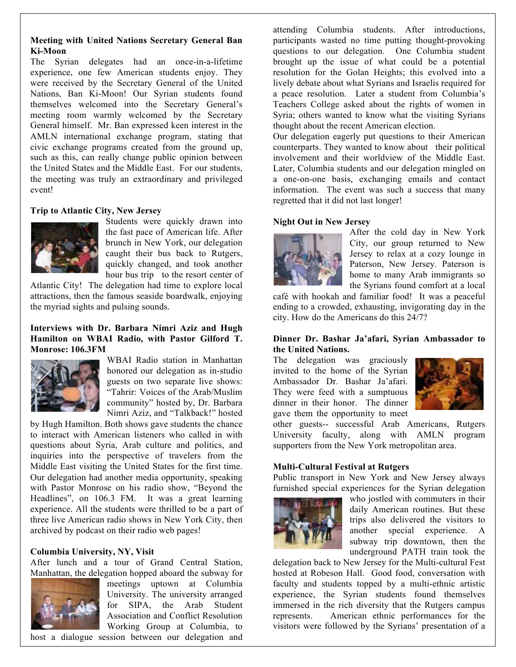## **Meeting with United Nations Secretary General Ban Ki-Moon**

The Syrian delegates had an once-in-a-lifetime experience, one few American students enjoy. They were received by the Secretary General of the United Nations, Ban Ki-Moon! Our Syrian students found themselves welcomed into the Secretary General's meeting room warmly welcomed by the Secretary General himself. Mr. Ban expressed keen interest in the AMLN international exchange program, stating that civic exchange programs created from the ground up, such as this, can really change public opinion between the United States and the Middle East. For our students, the meeting was truly an extraordinary and privileged event!

## **Trip to Atlantic City, New Jersey**



Students were quickly drawn into the fast pace of American life. After brunch in New York, our delegation caught their bus back to Rutgers, quickly changed, and took another hour bus trip to the resort center of

Atlantic City! The delegation had time to explore local attractions, then the famous seaside boardwalk, enjoying the myriad sights and pulsing sounds.

#### **Interviews with Dr. Barbara Nimri Aziz and Hugh Hamilton on WBAI Radio, with Pastor Gilford T. Monrose: 106.3FM**



WBAI Radio station in Manhattan honored our delegation as in-studio guests on two separate live shows: "Tahrir: Voices of the Arab/Muslim community" hosted by, Dr. Barbara Nimri Aziz, and "Talkback!" hosted

by Hugh Hamilton. Both shows gave students the chance to interact with American listeners who called in with questions about Syria, Arab culture and politics, and inquiries into the perspective of travelers from the Middle East visiting the United States for the first time. Our delegation had another media opportunity, speaking with Pastor Monrose on his radio show, "Beyond the Headlines", on 106.3 FM. It was a great learning experience. All the students were thrilled to be a part of three live American radio shows in New York City, then archived by podcast on their radio web pages!

#### **Columbia University, NY, Visit**

After lunch and a tour of Grand Central Station, Manhattan, the delegation hopped aboard the subway for



meetings uptown at Columbia University. The university arranged for SIPA, the Arab Student Association and Conflict Resolution Working Group at Columbia, to

host a dialogue session between our delegation and

attending Columbia students. After introductions, participants wasted no time putting thought-provoking questions to our delegation. One Columbia student brought up the issue of what could be a potential resolution for the Golan Heights; this evolved into a lively debate about what Syrians and Israelis required for a peace resolution. Later a student from Columbia's Teachers College asked about the rights of women in Syria; others wanted to know what the visiting Syrians thought about the recent American election.

Our delegation eagerly put questions to their American counterparts. They wanted to know about their political involvement and their worldview of the Middle East. Later, Columbia students and our delegation mingled on a one-on-one basis, exchanging emails and contact information. The event was such a success that many regretted that it did not last longer!

## **Night Out in New Jersey**



After the cold day in New York City, our group returned to New Jersey to relax at a cozy lounge in Paterson, New Jersey. Paterson is home to many Arab immigrants so the Syrians found comfort at a local

café with hookah and familiar food! It was a peaceful ending to a crowded, exhausting, invigorating day in the city. How do the Americans do this 24/7?

## **Dinner Dr. Bashar Ja'afari, Syrian Ambassador to the United Nations.**

The delegation was graciously invited to the home of the Syrian Ambassador Dr. Bashar Ja'afari. They were feed with a sumptuous dinner in their honor. The dinner gave them the opportunity to meet



other guests-- successful Arab Americans, Rutgers University faculty, along with AMLN program supporters from the New York metropolitan area.

#### **Multi-Cultural Festival at Rutgers**

Public transport in New York and New Jersey always furnished special experiences for the Syrian delegation



who jostled with commuters in their daily American routines. But these trips also delivered the visitors to another special experience. A subway trip downtown, then the underground PATH train took the

delegation back to New Jersey for the Multi-cultural Fest hosted at Robeson Hall. Good food, conversation with faculty and students topped by a multi-ethnic artistic experience, the Syrian students found themselves immersed in the rich diversity that the Rutgers campus represents. American ethnic performances for the visitors were followed by the Syrians' presentation of a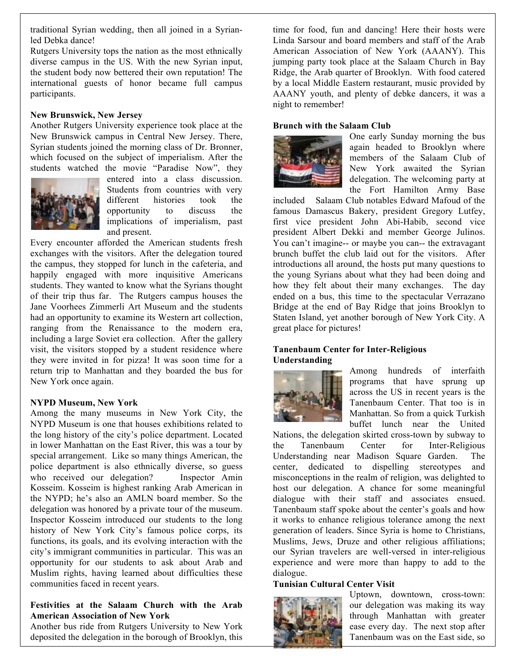traditional Syrian wedding, then all joined in a Syrianled Debka dance!

Rutgers University tops the nation as the most ethnically diverse campus in the US. With the new Syrian input, the student body now bettered their own reputation! The international guests of honor became full campus participants.

#### **New Brunswick, New Jersey**

Another Rutgers University experience took place at the New Brunswick campus in Central New Jersey. There, Syrian students joined the morning class of Dr. Bronner, which focused on the subject of imperialism. After the students watched the movie "Paradise Now", they



entered into a class discussion. Students from countries with very different histories took the opportunity to discuss the implications of imperialism, past and present.

Every encounter afforded the American students fresh exchanges with the visitors. After the delegation toured the campus, they stopped for lunch in the cafeteria, and happily engaged with more inquisitive Americans students. They wanted to know what the Syrians thought of their trip thus far. The Rutgers campus houses the Jane Voorhees Zimmerli Art Museum and the students had an opportunity to examine its Western art collection, ranging from the Renaissance to the modern era, including a large Soviet era collection. After the gallery visit, the visitors stopped by a student residence where they were invited in for pizza! It was soon time for a return trip to Manhattan and they boarded the bus for New York once again.

#### **NYPD Museum, New York**

Among the many museums in New York City, the NYPD Museum is one that houses exhibitions related to the long history of the city's police department. Located in lower Manhattan on the East River, this was a tour by special arrangement. Like so many things American, the police department is also ethnically diverse, so guess who received our delegation? Inspector Amin Kosseim. Kosseim is highest ranking Arab American in the NYPD; he's also an AMLN board member. So the delegation was honored by a private tour of the museum. Inspector Kosseim introduced our students to the long history of New York City's famous police corps, its functions, its goals, and its evolving interaction with the city's immigrant communities in particular. This was an opportunity for our students to ask about Arab and Muslim rights, having learned about difficulties these communities faced in recent years.

## **Festivities at the Salaam Church with the Arab American Association of New York**

Another bus ride from Rutgers University to New York deposited the delegation in the borough of Brooklyn, this

time for food, fun and dancing! Here their hosts were Linda Sarsour and board members and staff of the Arab American Association of New York (AAANY). This jumping party took place at the Salaam Church in Bay Ridge, the Arab quarter of Brooklyn. With food catered by a local Middle Eastern restaurant, music provided by AAANY youth, and plenty of debke dancers, it was a night to remember!

#### **Brunch with the Salaam Club**



One early Sunday morning the bus again headed to Brooklyn where members of the Salaam Club of New York awaited the Syrian delegation. The welcoming party at the Fort Hamilton Army Base

included Salaam Club notables Edward Mafoud of the famous Damascus Bakery, president Gregory Lutfey, first vice president John Abi-Habib, second vice president Albert Dekki and member George Julinos. You can't imagine-- or maybe you can-- the extravagant brunch buffet the club laid out for the visitors. After introductions all around, the hosts put many questions to the young Syrians about what they had been doing and how they felt about their many exchanges. The day ended on a bus, this time to the spectacular Verrazano Bridge at the end of Bay Ridge that joins Brooklyn to Staten Island, yet another borough of New York City. A great place for pictures!

## **Tanenbaum Center for Inter-Religious Understanding**



Among hundreds of interfaith programs that have sprung up across the US in recent years is the Tanenbaum Center. That too is in Manhattan. So from a quick Turkish buffet lunch near the United

Nations, the delegation skirted cross-town by subway to the Tanenbaum Center for Inter-Religious Understanding near Madison Square Garden. The center, dedicated to dispelling stereotypes and misconceptions in the realm of religion, was delighted to host our delegation. A chance for some meaningful dialogue with their staff and associates ensued. Tanenbaum staff spoke about the center's goals and how it works to enhance religious tolerance among the next generation of leaders. Since Syria is home to Christians, Muslims, Jews, Druze and other religious affiliations; our Syrian travelers are well-versed in inter-religious experience and were more than happy to add to the dialogue.

#### **Tunisian Cultural Center Visit**



Uptown, downtown, cross-town: our delegation was making its way through Manhattan with greater ease every day. The next stop after Tanenbaum was on the East side, so